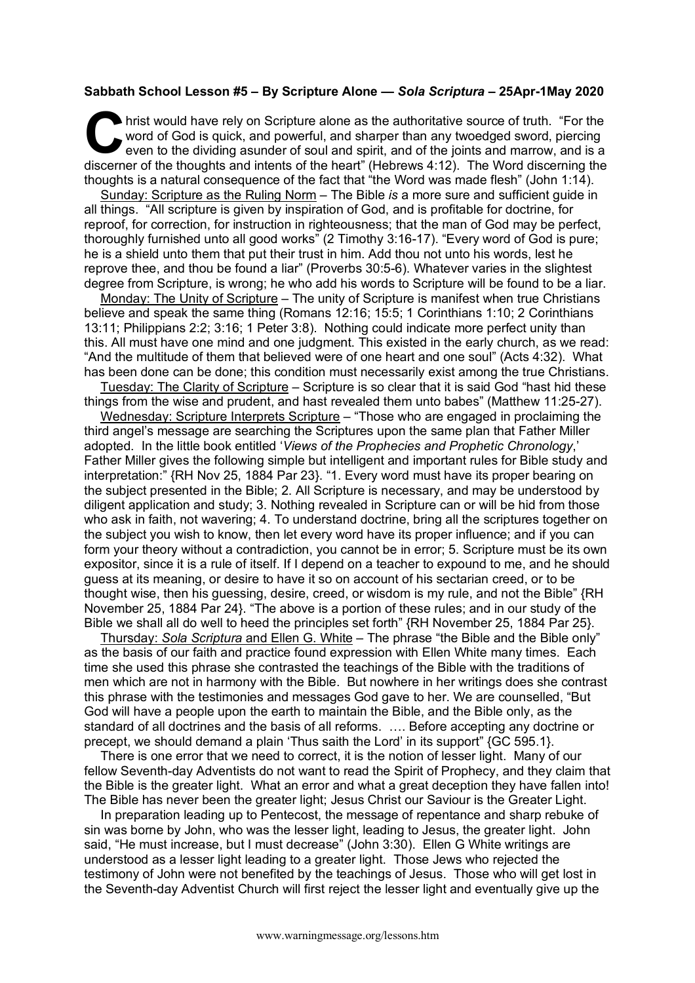## **Sabbath School Lesson #5 – By Scripture Alone —** *Sola Scriptura* **– 25Apr-1May 2020**

hrist would have rely on Scripture alone as the authoritative source of truth. "For the word of God is quick, and powerful, and sharper than any twoedged sword, piercing even to the dividing asunder of soul and spirit, and of the joints and marrow, and is a hrist would have rely on Scripture alone as the authoritative source of truth. "For the word of God is quick, and powerful, and sharper than any twoedged sword, piercing even to the dividing asunder of soul and spirit, and thoughts is a natural consequence of the fact that "the Word was made flesh" (John 1:14).

Sunday: Scripture as the Ruling Norm – The Bible *is* a more sure and sufficient guide in all things. "All scripture is given by inspiration of God, and is profitable for doctrine, for reproof, for correction, for instruction in righteousness; that the man of God may be perfect, thoroughly furnished unto all good works" (2 Timothy 3:16-17). "Every word of God is pure; he is a shield unto them that put their trust in him. Add thou not unto his words, lest he reprove thee, and thou be found a liar" (Proverbs 30:5-6). Whatever varies in the slightest degree from Scripture, is wrong; he who add his words to Scripture will be found to be a liar.

Monday: The Unity of Scripture – The unity of Scripture is manifest when true Christians believe and speak the same thing (Romans 12:16; 15:5; 1 Corinthians 1:10; 2 Corinthians 13:11; Philippians 2:2; 3:16; 1 Peter 3:8). Nothing could indicate more perfect unity than this. All must have one mind and one judgment. This existed in the early church, as we read: "And the multitude of them that believed were of one heart and one soul" (Acts 4:32). What has been done can be done; this condition must necessarily exist among the true Christians.

Tuesday: The Clarity of Scripture – Scripture is so clear that it is said God "hast hid these things from the wise and prudent, and hast revealed them unto babes" (Matthew 11:25-27).

Wednesday: Scripture Interprets Scripture – "Those who are engaged in proclaiming the third angel's message are searching the Scriptures upon the same plan that Father Miller adopted. In the little book entitled '*Views of the Prophecies and Prophetic Chronology*,' Father Miller gives the following simple but intelligent and important rules for Bible study and interpretation:" {RH Nov 25, 1884 Par 23}. "1. Every word must have its proper bearing on the subject presented in the Bible; 2. All Scripture is necessary, and may be understood by diligent application and study; 3. Nothing revealed in Scripture can or will be hid from those who ask in faith, not wavering; 4. To understand doctrine, bring all the scriptures together on the subject you wish to know, then let every word have its proper influence; and if you can form your theory without a contradiction, you cannot be in error; 5. Scripture must be its own expositor, since it is a rule of itself. If I depend on a teacher to expound to me, and he should guess at its meaning, or desire to have it so on account of his sectarian creed, or to be thought wise, then his guessing, desire, creed, or wisdom is my rule, and not the Bible" {RH November 25, 1884 Par 24}. "The above is a portion of these rules; and in our study of the Bible we shall all do well to heed the principles set forth" {RH November 25, 1884 Par 25}.

Thursday: *Sola Scriptura* and Ellen G. White – The phrase "the Bible and the Bible only" as the basis of our faith and practice found expression with Ellen White many times. Each time she used this phrase she contrasted the teachings of the Bible with the traditions of men which are not in harmony with the Bible. But nowhere in her writings does she contrast this phrase with the testimonies and messages God gave to her. We are counselled, "But God will have a people upon the earth to maintain the Bible, and the Bible only, as the standard of all doctrines and the basis of all reforms. …. Before accepting any doctrine or precept, we should demand a plain 'Thus saith the Lord' in its support" {GC 595.1}.

There is one error that we need to correct, it is the notion of lesser light. Many of our fellow Seventh-day Adventists do not want to read the Spirit of Prophecy, and they claim that the Bible is the greater light. What an error and what a great deception they have fallen into! The Bible has never been the greater light; Jesus Christ our Saviour is the Greater Light.

In preparation leading up to Pentecost, the message of repentance and sharp rebuke of sin was borne by John, who was the lesser light, leading to Jesus, the greater light. John said, "He must increase, but I must decrease" (John 3:30). Ellen G White writings are understood as a lesser light leading to a greater light. Those Jews who rejected the testimony of John were not benefited by the teachings of Jesus. Those who will get lost in the Seventh-day Adventist Church will first reject the lesser light and eventually give up the